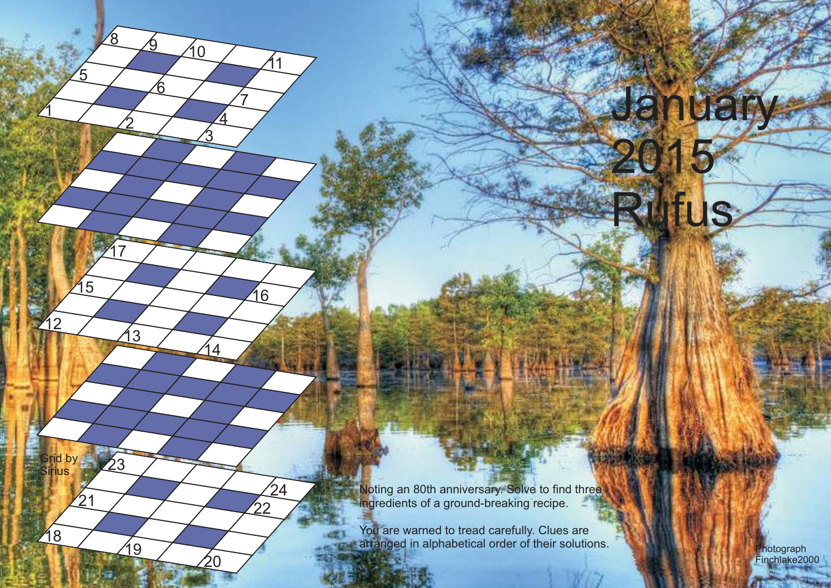Noting an 80th anniversary. Solve to find three ingredients of a ground-breaking recipe.

Grid by Sirius

18

 $\mathbf{1}2$ 

 $\mathbf 1$ 

 $\overline{5}$ 

<u>2</u>

13

 $23$ 

19

17

 $15$  16

 $21 \overline{\smash{\big)}\phantom{222}}$ 

 $\frac{8}{9}$ 

6

<u>3</u>

14

20

 $24$ 

10

4

7

11

You are warned to tread carefully. Clues are arranged in alphabetical order of their solutions. Photograph and the photograph

Finchlake2000

January

2015

Rufus